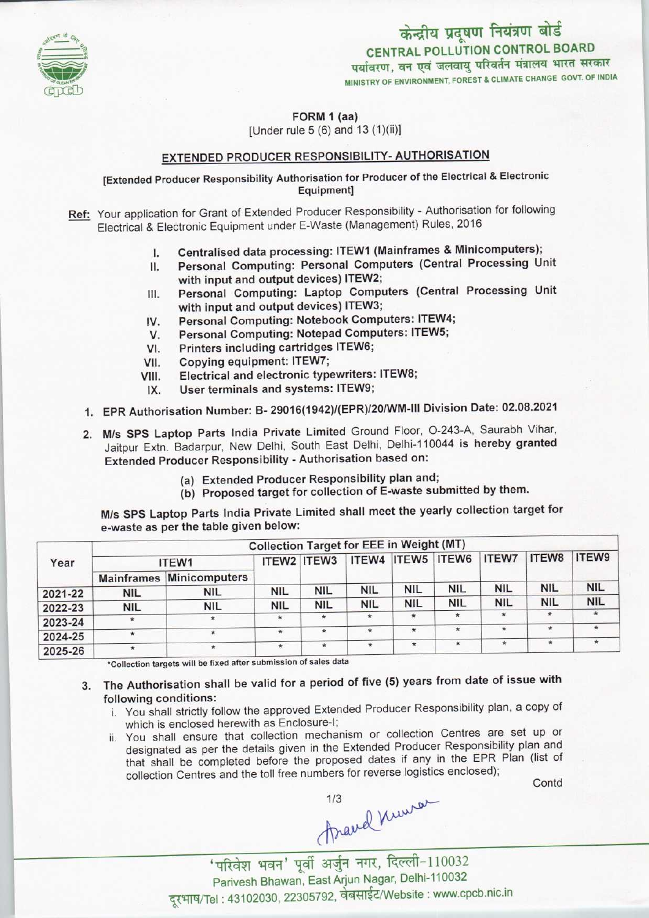

MINISTRY OF ENVIRONMENT, FOREST & CLIMATE CHANGE GOVT. OF INDIA केन्द्रीय प्रदूषण नियंत्रण बोर्ड<br>CENTRAL POLLUTION CONTROL BOARD<br>पर्यावरण, वन एवं जलवायु परिवर्तन मंत्रालय भारत सरकार

FORM 1 (aa)

[Under rule 5 (6) and 13 (1)(ii)]

### EXTENDED PRODUCER RESPONSIBILITY- AUTHORISATION

[Extended Producer Responsibility Authorisation for Producer of the Electrical & Electronic Equipment]

- Ref: Your application for Grant of Extended Producer Responsibility Authorisation for following Electrical & Electronic Equipment under E-Waste (Management) Rules, 2016
	-
	- I. Centralised data processing: ITEW1 (Mainframes & Minicomputers);<br>II. Personal Computing: Personal Computers (Central Processing Ur Personal Computing: Personal Computers (Central Processing Unit with input and output devices) ITEW2;
	- III. Personal Computing: Laptop Computers (Central Processing Unit with input and output devices) ITEW3; III. Personal Computing: Laptop Computers (Centra<br>with input and output devices) ITEW3;<br>IV. Personal Computing: Notebook Computers: ITEW4;
	- with input and output devices) ITEW3;<br>V. Personal Computing: Notebook Computers: ITEW-<br>V. Personal Computing: Notepad Computers: ITEW5;
	- V. Personal Computing: Notepad Computers: ITEW5;<br>VI. Printers including cartridges ITEW6;
	-
	-
	- VII. Copying equipment: ITEW7;<br>VIII. Electrical and electronic type Electrical and electronic typewriters: ITEW8;
	- IX. User terminals and systems: ITEW9;
	- 1.EPR Authorisation Number: B- 29016(1942)/(EPR)/20/WM-lll Division Date: 02.08.2021
	- 2.M/s SPS Laptop Parts India Private Limited Ground Floor, 0-243-A, Saurabh Vihar, Jaitpur Extn. Badarpur, New Delhi, South East Delhi, Delhi-110044 is hereby granted Extended Producer Responsibility - Authorisation based on:
		- (a)Extended Producer Responsibility plan and;
		- (b) Proposed target for collection of E-waste submitted by them.

M/s SPS Laptop Parts India Private Limited shall meet the yearly collection target for e-waste as per the table given below:

| Year    | Collection Target for EEE in Weight (MT) |               |            |             |            |            |                   |              |              |            |
|---------|------------------------------------------|---------------|------------|-------------|------------|------------|-------------------|--------------|--------------|------------|
|         | ITEW1                                    |               |            | ITEW2 ITEW3 |            |            | ITEW4 ITEW5 ITEW6 | <b>ITEW7</b> | <b>ITEW8</b> | ITEW9      |
|         | <b>Mainframes</b>                        | Minicomputers |            |             |            |            |                   |              |              |            |
| 2021-22 | <b>NIL</b>                               | <b>NIL</b>    | <b>NIL</b> | <b>NIL</b>  | <b>NIL</b> | <b>NIL</b> | <b>NIL</b>        | <b>NIL</b>   | <b>NIL</b>   | <b>NIL</b> |
| 2022-23 | <b>NIL</b>                               | <b>NIL</b>    | <b>NIL</b> | <b>NIL</b>  | <b>NIL</b> | <b>NIL</b> | <b>NIL</b>        | <b>NIL</b>   | NIL          | <b>NIL</b> |
| 2023-24 | $\star$                                  | $\star$       | $\star$    | $\star$     | $\star$    | $\star$    | $\star$           | $\star$      | $\star$      | $\star$    |
| 2024-25 | $\star$                                  | $\star$       | $\star$    | $\star$     | $\star$    | $\star$    | $\star$           | $\star$      | $\star$      | $\star$    |
| 2025-26 | $\star$                                  | $\star$       | $\star$    |             | $\star$    | $\star$    | $\star$           | ÷            | $\ast$       | $\star$    |

•Collection targets will be fixed aftersubmission of sales data \*

## 3. The Authorisation shall be valid for a period of five (5) years from date of issue with following conditions:

- i. You shall strictly follow the approved Extended Producer Responsibility plan, a copy of which is enclosed herewith as Enclosure-I;
- ii. You shall ensure that collection mechanism or collection Centres are set up or designated as per the details given in the Extended Producer Responsibility plan and that shall be completed before the proposed dates if any in the EPR Plan (list of Which is enclosed herewill as Enclosure-1,<br>You shall ensure that collection mechanism or collection Centres are s<br>designated as per the details given in the Extended Producer Responsibility<br>that shall be completed before t Contd<br>Contd

Araud numer

 $^\prime$ परिवेश भवन' पर्वी अर्जुन नगर, दिल्ली-110032 Parivesh Bhawan, East Aijun Nagar, Delhi-110032 दूरभाष/Tel : 43102030, 22305792, वेबसाईट/Website : www.cpcb.nic.in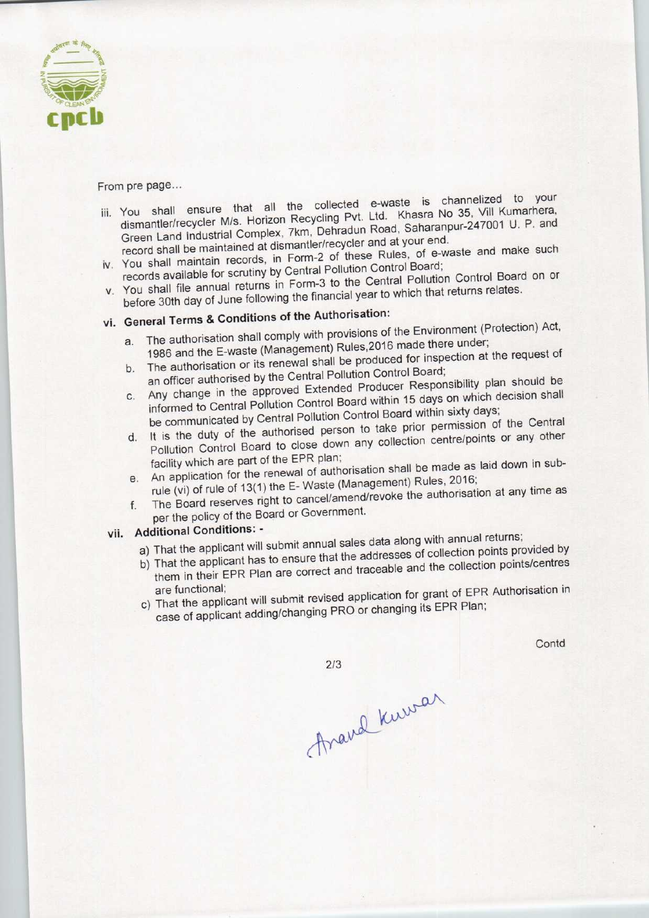

From pre page...

- -rom pre page...<br>in the line ensure that all the collected e-waste is channelized to your You shall ensure that all the collected e-waste is chambitration Recycling Pvt. Ltd. Khasra No 35, Vill Kumarhera dismantler/recycler M/s. Horizon Recycling Pvt. Ltd. Khasra No 35, Vill Kumarhera, Green Land Industrial Complex, 7km, Dehradun Road, Saharanpur-247001 U. P. and record shall be maintained at dismantler/recycler and at your end.
- iv. You shall maintain records, in Form-2 of these Rules, of e-waste and make such records available for scrutiny by Central Pollution Control Board;
- records available for scrutiny by Central Pollution Control Control Board on or You shall file annual returns in Form-3 to the Sential Peace of the returns relates. before 30th day of June following the financial year to which that returns relates.<br>vi. General Terms & Conditions of the Authorisation:

- a. The authorisation shall comply with provisions of the Environment (Protection) Act, a. The authorisation shall comply with provisions of the Environment (1986 and the E-waste (Management) Rules, 2016 made there under;
- b. The authorisation or its renewal shall be produced for inspection at the request of an officer authorised by the Central Pollution Control Board; b. The authorisation or its renewal shall be produced for inspection.<br>
an officer authorised by the Central Pollution Control Board;<br>
Any change in the approved Extended Producer Responsibility plan should be
- Any change in the approved Extended Producer Responsibility of decision shall informed to Central Pollution Control Board within 15 days on which assessed<br>the communicated by Central Pollution Control Board within sixty days;<br>this the duty of the authorised person to take prior permission of the Cen
- 
- d. It is the duty of the authorised person to take prior permission of the Central Pollution Control Board to close down any collection centre/points or any other facility which are part of the EPR plan;
- e.An application for the renewal of authorisation shall be made as laid down in subrule (vi) of rule of 13(1) the E- Waste (Management) Rules, 2016;
- f. The Board reserves right to cancel/amend/revoke the authorisation at any time as per the policy of the Board or Government.

## vii. Additional Conditions: -

- a) That the applicant will submit annual sales data along with annual returns; a) That the applicant will submit annual sales data along with annual returned by
- That the applicant has to ensure that the addresses of collection  $\frac{1}{100}$  points/centres
- them in their EPR Plan are correct and traceable and the collection points/centres are functional;<br>c) That the applicant will submit revised application for grant of EPR Authorisation in case of applicant adding/changing PRO or changing its EPR Plan;

Arand Kumar

Contd

 $2/3$